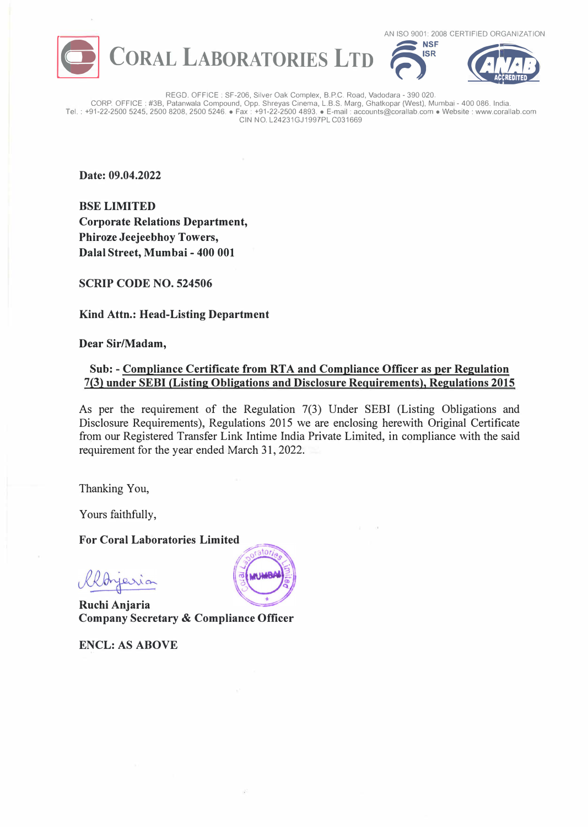





REGO. OFFICE : SF-206, Silver Oak Complex, B.P.C. Road, Vadodara - 390 020. CORP. OFFICE : #3B, Patanwala Compound, Opp. Shreyas Cinema, L.B.S. Marg, Ghatkopar (West), Mumbai - 400 086. India. Tel.: +91-22-2500 5245, 2500 8208, 2500 5246. •Fax : +91-22-2500 4893. •E-mail: accounts@corallab.com •Website: www.corallab.com CIN NO. L24231GJ1997PL C031669

**Date: 09.04.2022** 

**BSELIMITED Corporate Relations Department, Phiroze Jeejeebhoy Towers, Dalal Street, Mumbai - 400 001** 

**SCRIP CODE NO. 524506** 

**Kind Attn.: Head-Listing Department** 

**Dear Sir/Madam,** 

## **Sub: - Compliance Certificate from RTA and Compliance Officer as per Regulation 7(3) under SEBI (Listing Obligations and Disclosure Requirements), Regulations 2015**

As per the requirement of the Regulation 7(3) Under SEBI (Listing Obligations and Disclosure Requirements), Regulations 2015 we are enclosing herewith Original Certificate from our Registered Transfer Link Intime India Private Limited, in compliance with the said requirement for the year ended March 31, 2022.

Thanking You,

Yours faithfully,

**For Coral Laboratories Limited** 

ferria

**Ruchi Anjaria Company Secretary & Compliance Officer** 

**ENCL: AS ABOVE**